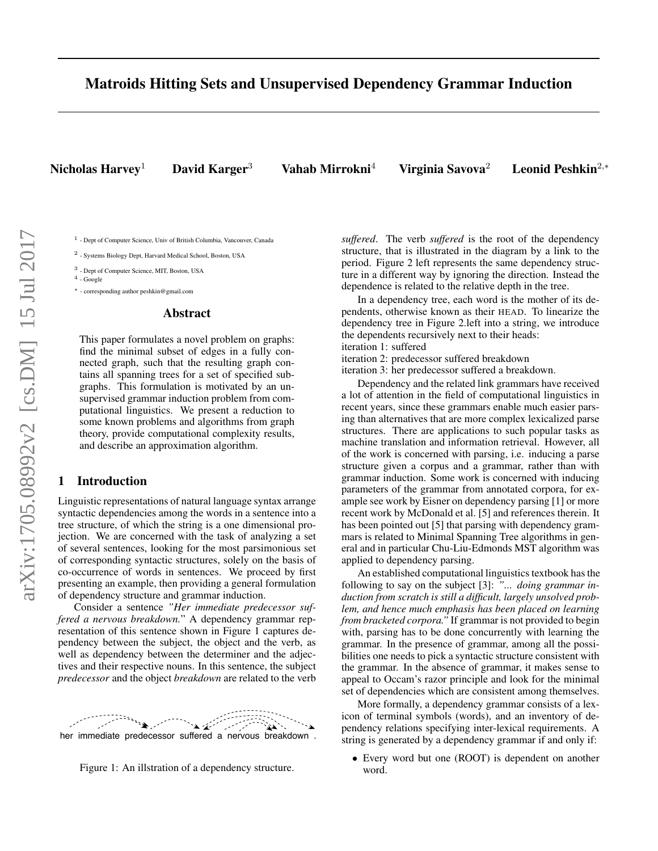# Matroids Hitting Sets and Unsupervised Dependency Grammar Induction

Nicholas Harvey<sup>1</sup> David Karger<sup>3</sup> Vahab Mirrokni<sup>4</sup> Virginia Savova<sup>2</sup> Leonid Peshkin<sup>2,∗</sup>

<sup>1</sup> - Dept of Computer Science, Univ of British Columbia, Vancouver, Canada

<sup>2</sup> - Systems Biology Dept, Harvard Medical School, Boston, USA

<sup>3</sup> - Dept of Computer Science, MIT, Boston, USA

 $^4$  - Google

<sup>∗</sup> - corresponding author peshkin@gmail.com

#### Abstract

This paper formulates a novel problem on graphs: find the minimal subset of edges in a fully connected graph, such that the resulting graph contains all spanning trees for a set of specified subgraphs. This formulation is motivated by an unsupervised grammar induction problem from computational linguistics. We present a reduction to some known problems and algorithms from graph theory, provide computational complexity results, and describe an approximation algorithm.

## 1 Introduction

Linguistic representations of natural language syntax arrange syntactic dependencies among the words in a sentence into a tree structure, of which the string is a one dimensional projection. We are concerned with the task of analyzing a set of several sentences, looking for the most parsimonious set of corresponding syntactic structures, solely on the basis of co-occurrence of words in sentences. We proceed by first presenting an example, then providing a general formulation of dependency structure and grammar induction.

Consider a sentence *"Her immediate predecessor suffered a nervous breakdown.*" A dependency grammar representation of this sentence shown in Figure 1 captures dependency between the subject, the object and the verb, as well as dependency between the determiner and the adjectives and their respective nouns. In this sentence, the subject *predecessor* and the object *breakdown* are related to the verb



Figure 1: An illstration of a dependency structure.

*suffered*. The verb *suffered* is the root of the dependency structure, that is illustrated in the diagram by a link to the period. Figure 2 left represents the same dependency structure in a different way by ignoring the direction. Instead the dependence is related to the relative depth in the tree.

In a dependency tree, each word is the mother of its dependents, otherwise known as their HEAD. To linearize the dependency tree in Figure 2.left into a string, we introduce the dependents recursively next to their heads:

iteration 1: suffered

iteration 2: predecessor suffered breakdown iteration 3: her predecessor suffered a breakdown.

Dependency and the related link grammars have received a lot of attention in the field of computational linguistics in recent years, since these grammars enable much easier parsing than alternatives that are more complex lexicalized parse structures. There are applications to such popular tasks as machine translation and information retrieval. However, all of the work is concerned with parsing, i.e. inducing a parse structure given a corpus and a grammar, rather than with grammar induction. Some work is concerned with inducing parameters of the grammar from annotated corpora, for example see work by Eisner on dependency parsing [1] or more recent work by McDonald et al. [5] and references therein. It has been pointed out [5] that parsing with dependency grammars is related to Minimal Spanning Tree algorithms in general and in particular Chu-Liu-Edmonds MST algorithm was applied to dependency parsing.

An established computational linguistics textbook has the following to say on the subject [3]: *"... doing grammar induction from scratch is still a difficult, largely unsolved problem, and hence much emphasis has been placed on learning from bracketed corpora."* If grammar is not provided to begin with, parsing has to be done concurrently with learning the grammar. In the presence of grammar, among all the possibilities one needs to pick a syntactic structure consistent with the grammar. In the absence of grammar, it makes sense to appeal to Occam's razor principle and look for the minimal set of dependencies which are consistent among themselves.

More formally, a dependency grammar consists of a lexicon of terminal symbols (words), and an inventory of dependency relations specifying inter-lexical requirements. A string is generated by a dependency grammar if and only if:

• Every word but one (ROOT) is dependent on another word.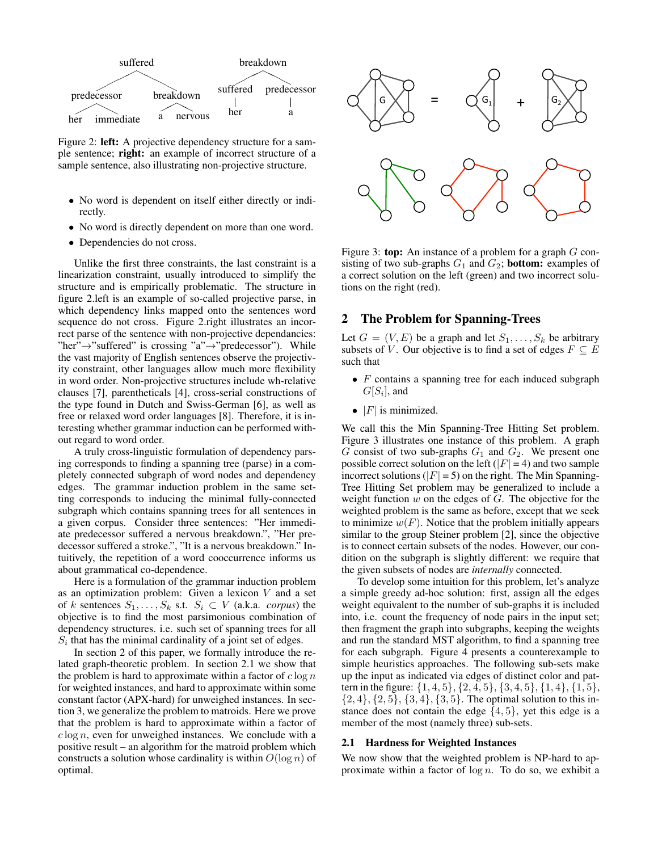

Figure 2: left: A projective dependency structure for a sample sentence; right: an example of incorrect structure of a sample sentence, also illustrating non-projective structure.

- No word is dependent on itself either directly or indirectly.
- No word is directly dependent on more than one word.
- Dependencies do not cross.

Unlike the first three constraints, the last constraint is a linearization constraint, usually introduced to simplify the structure and is empirically problematic. The structure in figure 2.left is an example of so-called projective parse, in which dependency links mapped onto the sentences word sequence do not cross. Figure 2.right illustrates an incorrect parse of the sentence with non-projective dependancies: "her" $\rightarrow$ "suffered" is crossing "a" $\rightarrow$ "predecessor"). While the vast majority of English sentences observe the projectivity constraint, other languages allow much more flexibility in word order. Non-projective structures include wh-relative clauses [7], parentheticals [4], cross-serial constructions of the type found in Dutch and Swiss-German [6], as well as free or relaxed word order languages [8]. Therefore, it is interesting whether grammar induction can be performed without regard to word order.

A truly cross-linguistic formulation of dependency parsing corresponds to finding a spanning tree (parse) in a completely connected subgraph of word nodes and dependency edges. The grammar induction problem in the same setting corresponds to inducing the minimal fully-connected subgraph which contains spanning trees for all sentences in a given corpus. Consider three sentences: "Her immediate predecessor suffered a nervous breakdown.", "Her predecessor suffered a stroke.", "It is a nervous breakdown." Intuitively, the repetition of a word cooccurrence informs us about grammatical co-dependence.

Here is a formulation of the grammar induction problem as an optimization problem: Given a lexicon  $V$  and a set of k sentences  $S_1, \ldots, S_k$  s.t.  $S_i \subset V$  (a.k.a. *corpus*) the objective is to find the most parsimonious combination of dependency structures. i.e. such set of spanning trees for all  $S_i$  that has the minimal cardinality of a joint set of edges.

In section 2 of this paper, we formally introduce the related graph-theoretic problem. In section 2.1 we show that the problem is hard to approximate within a factor of  $c \log n$ for weighted instances, and hard to approximate within some constant factor (APX-hard) for unweighed instances. In section 3, we generalize the problem to matroids. Here we prove that the problem is hard to approximate within a factor of  $c \log n$ , even for unweighed instances. We conclude with a positive result – an algorithm for the matroid problem which constructs a solution whose cardinality is within  $O(\log n)$  of optimal.



Figure 3: **top:** An instance of a problem for a graph  $G$  consisting of two sub-graphs  $G_1$  and  $G_2$ ; **bottom:** examples of a correct solution on the left (green) and two incorrect solutions on the right (red).

## 2 The Problem for Spanning-Trees

Let  $G = (V, E)$  be a graph and let  $S_1, \ldots, S_k$  be arbitrary subsets of V. Our objective is to find a set of edges  $F \subseteq E$ such that

- $\bullet$  F contains a spanning tree for each induced subgraph  $G[S_i]$ , and
- $|F|$  is minimized.

We call this the Min Spanning-Tree Hitting Set problem. Figure 3 illustrates one instance of this problem. A graph  $G$  consist of two sub-graphs  $G_1$  and  $G_2$ . We present one possible correct solution on the left ( $|F| = 4$ ) and two sample incorrect solutions ( $|F| = 5$ ) on the right. The Min Spanning-Tree Hitting Set problem may be generalized to include a weight function  $w$  on the edges of  $G$ . The objective for the weighted problem is the same as before, except that we seek to minimize  $w(F)$ . Notice that the problem initially appears similar to the group Steiner problem [2], since the objective is to connect certain subsets of the nodes. However, our condition on the subgraph is slightly different: we require that the given subsets of nodes are *internally* connected.

To develop some intuition for this problem, let's analyze a simple greedy ad-hoc solution: first, assign all the edges weight equivalent to the number of sub-graphs it is included into, i.e. count the frequency of node pairs in the input set; then fragment the graph into subgraphs, keeping the weights and run the standard MST algorithm, to find a spanning tree for each subgraph. Figure 4 presents a counterexample to simple heuristics approaches. The following sub-sets make up the input as indicated via edges of distinct color and pattern in the figure:  $\{1, 4, 5\}, \{2, 4, 5\}, \{3, 4, 5\}, \{1, 4\}, \{1, 5\},\$  $\{2,4\}, \{2,5\}, \{3,4\}, \{3,5\}.$  The optimal solution to this instance does not contain the edge  $\{4, 5\}$ , yet this edge is a member of the most (namely three) sub-sets.

#### 2.1 Hardness for Weighted Instances

We now show that the weighted problem is NP-hard to approximate within a factor of  $\log n$ . To do so, we exhibit a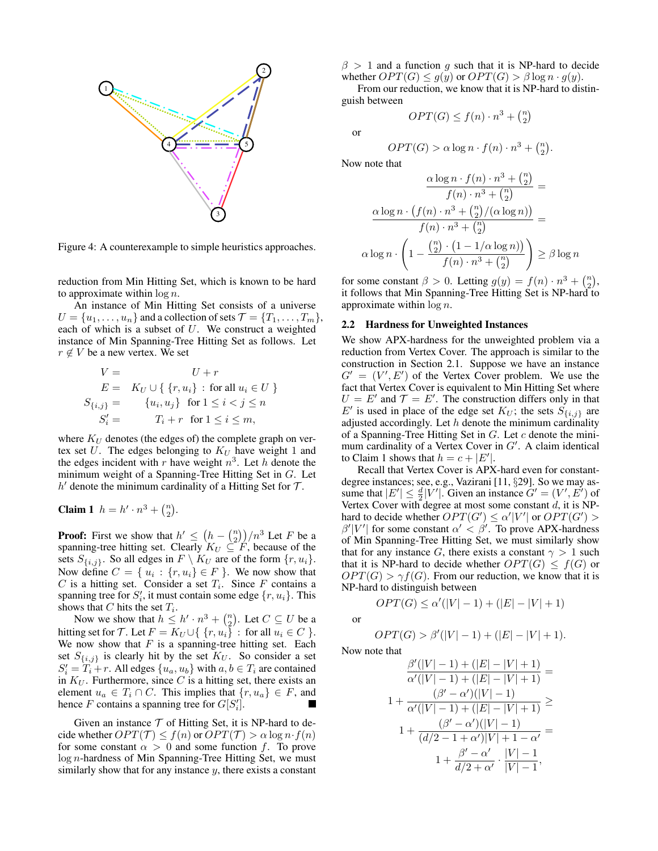

Figure 4: A counterexample to simple heuristics approaches.

reduction from Min Hitting Set, which is known to be hard to approximate within  $\log n$ .

An instance of Min Hitting Set consists of a universe  $U = \{u_1, \ldots, u_n\}$  and a collection of sets  $\mathcal{T} = \{T_1, \ldots, T_m\}$ , each of which is a subset of  $U$ . We construct a weighted instance of Min Spanning-Tree Hitting Set as follows. Let  $r \notin V$  be a new vertex. We set

$$
V = U + r
$$
  
\n
$$
E = K_U \cup \{ \{r, u_i\} : \text{for all } u_i \in U \}
$$
  
\n
$$
S_{\{i,j\}} = \{u_i, u_j\} \text{ for } 1 \le i < j \le n
$$
  
\n
$$
S'_i = T_i + r \text{ for } 1 \le i \le m,
$$

where  $K_U$  denotes (the edges of) the complete graph on vertex set  $U$ . The edges belonging to  $K_U$  have weight 1 and the edges incident with r have weight  $n^3$ . Let h denote the minimum weight of a Spanning-Tree Hitting Set in G. Let  $h'$  denote the minimum cardinality of a Hitting Set for  $\mathcal{T}$ .

**Claim 1** 
$$
h = h' \cdot n^3 + {n \choose 2}
$$
.

**Proof:** First we show that  $h' \leq (h - {n \choose 2})/n^3$  Let F be a spanning-tree hitting set. Clearly  $K_U \subseteq F$ , because of the sets  $S_{\{i,j\}}$ . So all edges in  $F \setminus K_U$  are of the form  $\{r, u_i\}$ . Now define  $C = \{u_i : \{r, u_i\} \in F\}$ . We now show that  $C$  is a hitting set. Consider a set  $T_i$ . Since F contains a spanning tree for  $S_i'$ , it must contain some edge  $\{r, u_i\}$ . This shows that C hits the set  $T_i$ .

Now we show that  $h \leq h' \cdot n^3 + \binom{n}{2}$ . Let  $C \subseteq U$  be a hitting set for T. Let  $F = K_U \cup \{ \{r, u_i\} : \text{ for all } u_i \in C \}.$ We now show that  $F$  is a spanning-tree hitting set. Each set  $S_{\{i,j\}}$  is clearly hit by the set  $K_U$ . So consider a set  $S_i' = T_i + r$ . All edges  $\{u_a, u_b\}$  with  $a, b \in T_i$  are contained in  $K_U$ . Furthermore, since C is a hitting set, there exists an element  $u_a \in T_i \cap C$ . This implies that  $\{r, u_a\} \in F$ , and hence F contains a spanning tree for  $G[S'_i]$ .

Given an instance  $T$  of Hitting Set, it is NP-hard to decide whether  $OPT(\mathcal{T}) \leq f(n)$  or  $OPT(\mathcal{T}) > \alpha \log n \cdot f(n)$ for some constant  $\alpha > 0$  and some function f. To prove log n-hardness of Min Spanning-Tree Hitting Set, we must similarly show that for any instance  $y$ , there exists a constant

 $\beta > 1$  and a function g such that it is NP-hard to decide whether  $OPT(G) \leq g(y)$  or  $OPT(G) > \beta \log n \cdot g(y)$ .

From our reduction, we know that it is NP-hard to distinguish between

$$
OPT(G) \le f(n) \cdot n^3 + \binom{n}{2}
$$

or

$$
OPT(G) > \alpha \log n \cdot f(n) \cdot n^3 + \binom{n}{2}.
$$

Now note that

$$
\frac{\alpha \log n \cdot f(n) \cdot n^3 + {n \choose 2}}{f(n) \cdot n^3 + {n \choose 2}} =
$$

$$
\frac{\alpha \log n \cdot (f(n) \cdot n^3 + {n \choose 2} / (\alpha \log n))}{f(n) \cdot n^3 + {n \choose 2}} =
$$

$$
\alpha \log n \cdot \left(1 - \frac{{n \choose 2} \cdot (1 - 1 / \alpha \log n)}{f(n) \cdot n^3 + {n \choose 2}}\right) \ge \beta \log n
$$

for some constant  $\beta > 0$ . Letting  $g(y) = f(n) \cdot n^3 + {n \choose 2}$ , it follows that Min Spanning-Tree Hitting Set is NP-hard to approximate within  $\log n$ .

### 2.2 Hardness for Unweighted Instances

We show APX-hardness for the unweighted problem via a reduction from Vertex Cover. The approach is similar to the construction in Section 2.1. Suppose we have an instance  $G' = (V', E')$  of the Vertex Cover problem. We use the fact that Vertex Cover is equivalent to Min Hitting Set where  $U = E'$  and  $\mathcal{T} = E'$ . The construction differs only in that E' is used in place of the edge set  $K_U$ ; the sets  $S_{\{i,j\}}$  are adjusted accordingly. Let  $h$  denote the minimum cardinality of a Spanning-Tree Hitting Set in  $G$ . Let  $c$  denote the minimum cardinality of a Vertex Cover in  $G'$ . A claim identical to Claim 1 shows that  $h = c + |E'|$ .

Recall that Vertex Cover is APX-hard even for constantdegree instances; see, e.g., Vazirani [11, §29]. So we may assume that  $|E'| \leq \frac{d}{2} |V'|$ . Given an instance  $G' = (V', E')$  of Vertex Cover with degree at most some constant  $d$ , it is NPhard to decide whether  $OPT(G') \le \alpha' |V'|$  or  $OPT(G') >$  $\beta'|V'|$  for some constant  $\alpha' < \beta'$ . To prove APX-hardness of Min Spanning-Tree Hitting Set, we must similarly show that for any instance G, there exists a constant  $\gamma > 1$  such that it is NP-hard to decide whether  $OPT(G) \leq f(G)$  or  $OPT(G) > \gamma f(G)$ . From our reduction, we know that it is NP-hard to distinguish between

or

$$
OPT(G) > \beta'(|V|-1) + (|E| - |V| + 1).
$$

 $OPT(G) \le \alpha'(|V|-1) + (|E|-|V|+1)$ 

Now note that

$$
\frac{\beta'(|V|-1) + (|E|-|V|+1)}{\alpha'(|V|-1) + (|E|-|V|+1)} =
$$
\n
$$
1 + \frac{(\beta' - \alpha')(|V|-1)}{\alpha'(|V|-1) + (|E|-|V|+1)} \ge
$$
\n
$$
1 + \frac{(\beta' - \alpha')(|V|-1)}{(d/2 - 1 + \alpha')|V| + 1 - \alpha'} =
$$
\n
$$
1 + \frac{\beta' - \alpha'}{d/2 + \alpha'} \cdot \frac{|V|-1}{|V|-1},
$$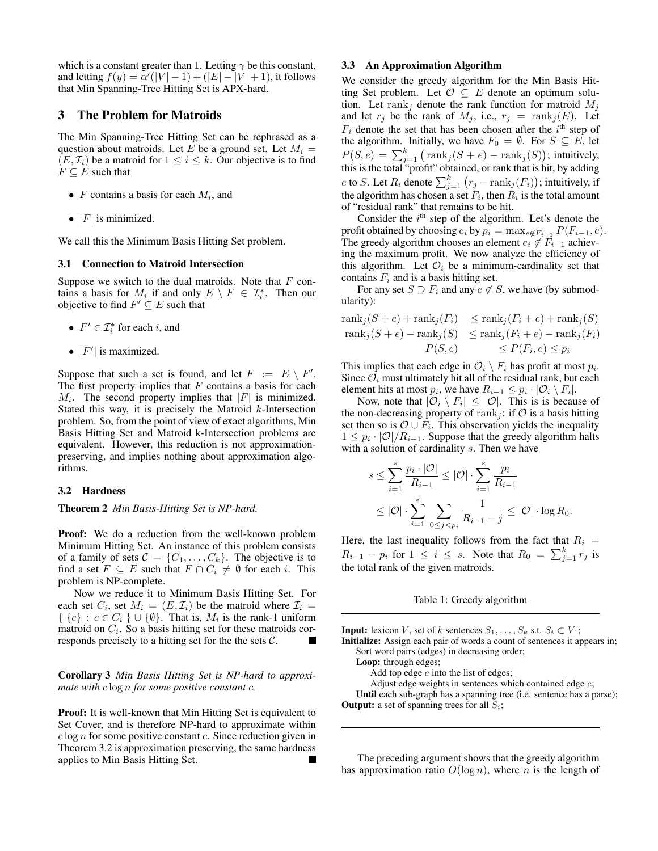which is a constant greater than 1. Letting  $\gamma$  be this constant, and letting  $f(y) = \alpha'(|V| - 1) + (|E| - |V| + 1)$ , it follows that Min Spanning-Tree Hitting Set is APX-hard.

## 3 The Problem for Matroids

The Min Spanning-Tree Hitting Set can be rephrased as a question about matroids. Let E be a ground set. Let  $M_i =$  $(E, \mathcal{I}_i)$  be a matroid for  $1 \leq i \leq k$ . Our objective is to find  $F \subseteq E$  such that

- $F$  contains a basis for each  $M_i$ , and
- $|F|$  is minimized.

We call this the Minimum Basis Hitting Set problem.

### 3.1 Connection to Matroid Intersection

Suppose we switch to the dual matroids. Note that  $F$  contains a basis for  $M_i$  if and only  $E \setminus F \in \mathcal{I}_i^*$ . Then our objective to find  $F' \subseteq E$  such that

- $F' \in \mathcal{I}_i^*$  for each *i*, and
- $|F'|$  is maximized.

Suppose that such a set is found, and let  $F := E \setminus F'$ . The first property implies that  $F$  contains a basis for each  $M_i$ . The second property implies that  $|F|$  is minimized. Stated this way, it is precisely the Matroid  $k$ -Intersection problem. So, from the point of view of exact algorithms, Min Basis Hitting Set and Matroid k-Intersection problems are equivalent. However, this reduction is not approximationpreserving, and implies nothing about approximation algorithms.

#### 3.2 Hardness

Theorem 2 *Min Basis-Hitting Set is NP-hard.*

**Proof:** We do a reduction from the well-known problem Minimum Hitting Set. An instance of this problem consists of a family of sets  $C = \{C_1, \ldots, C_k\}$ . The objective is to find a set  $F \subseteq E$  such that  $F \cap C_i \neq \emptyset$  for each i. This problem is NP-complete.

Now we reduce it to Minimum Basis Hitting Set. For each set  $C_i$ , set  $M_i = (E, \mathcal{I}_i)$  be the matroid where  $\mathcal{I}_i =$  $\{ \{c\} : c \in C_i \} \cup \{\emptyset\}.$  That is,  $M_i$  is the rank-1 uniform matroid on  $C_i$ . So a basis hitting set for these matroids corresponds precisely to a hitting set for the the sets  $C$ .

Corollary 3 *Min Basis Hitting Set is NP-hard to approximate with* c log n *for some positive constant* c*.*

Proof: It is well-known that Min Hitting Set is equivalent to Set Cover, and is therefore NP-hard to approximate within  $c \log n$  for some positive constant c. Since reduction given in Theorem 3.2 is approximation preserving, the same hardness applies to Min Basis Hitting Set.

### 3.3 An Approximation Algorithm

We consider the greedy algorithm for the Min Basis Hitting Set problem. Let  $\mathcal{O} \subseteq E$  denote an optimum solution. Let rank<sub>j</sub> denote the rank function for matroid  $M_j$ and let  $r_j$  be the rank of  $M_j$ , i.e.,  $r_j = \text{rank}_j(E)$ . Let  $F_i$  denote the set that has been chosen after the  $i<sup>th</sup>$  step of the algorithm. Initially, we have  $F_0 = \emptyset$ . For  $S \subseteq E$ , let  $P(S, e) = \sum_{j=1}^{k} (rank_j(S + e) - rank_j(S));$  intuitively, this is the total "profit" obtained, or rank that is hit, by adding e to S. Let  $R_i$  denote  $\sum_{j=1}^k (r_j - \text{rank}_j(F_i))$ ; intuitively, if the algorithm has chosen a set  $F_i$ , then  $R_i$  is the total amount of "residual rank" that remains to be hit.

Consider the  $i<sup>th</sup>$  step of the algorithm. Let's denote the profit obtained by choosing  $e_i$  by  $p_i = \max_{e \notin F_{i-1}} P(F_{i-1}, e)$ . The greedy algorithm chooses an element  $e_i \notin F_{i-1}$  achieving the maximum profit. We now analyze the efficiency of this algorithm. Let  $\mathcal{O}_i$  be a minimum-cardinality set that contains  $F_i$  and is a basis hitting set.

For any set  $S \supseteq F_i$  and any  $e \notin S$ , we have (by submodularity):

$$
\operatorname{rank}_{j}(S+e) + \operatorname{rank}_{j}(F_{i}) \leq \operatorname{rank}_{j}(F_{i}+e) + \operatorname{rank}_{j}(S)
$$
  
\n
$$
\operatorname{rank}_{j}(S+e) - \operatorname{rank}_{j}(S) \leq \operatorname{rank}_{j}(F_{i}+e) - \operatorname{rank}_{j}(F_{i})
$$
  
\n
$$
P(S,e) \leq P(F_{i},e) \leq p_{i}
$$

This implies that each edge in  $\mathcal{O}_i \setminus F_i$  has profit at most  $p_i$ . Since  $\mathcal{O}_i$  must ultimately hit all of the residual rank, but each element hits at most  $p_i$ , we have  $R_{i-1} \leq p_i \cdot |\mathcal{O}_i \setminus F_i|$ .

Now, note that  $|\mathcal{O}_i \setminus F_i| \leq |\mathcal{O}|$ . This is is because of the non-decreasing property of rank<sub>i</sub>: if  $\mathcal O$  is a basis hitting set then so is  $\mathcal{O} \cup F_i$ . This observation yields the inequality  $1 \leq p_i \cdot |\mathcal{O}|/R_{i-1}$ . Suppose that the greedy algorithm halts with a solution of cardinality s. Then we have

$$
s \le \sum_{i=1}^s \frac{p_i \cdot |\mathcal{O}|}{R_{i-1}} \le |\mathcal{O}| \cdot \sum_{i=1}^s \frac{p_i}{R_{i-1}}
$$
  
 
$$
\le |\mathcal{O}| \cdot \sum_{i=1}^s \sum_{0 \le j < p_i} \frac{1}{R_{i-1} - j} \le |\mathcal{O}| \cdot \log R_0.
$$

Here, the last inequality follows from the fact that  $R_i$  =  $R_{i-1} - p_i$  for  $1 \leq i \leq s$ . Note that  $R_0 = \sum_{j=1}^k r_j$  is the total rank of the given matroids.

#### Table 1: Greedy algorithm

**Input:** lexicon V, set of k sentences  $S_1, \ldots, S_k$  s.t.  $S_i \subset V$ ; Initialize: Assign each pair of words a count of sentences it appears in; Sort word pairs (edges) in decreasing order; Loop: through edges; Add top edge  $e$  into the list of edges; Adjust edge weights in sentences which contained edge e; Until each sub-graph has a spanning tree (i.e. sentence has a parse); **Output:** a set of spanning trees for all  $S_i$ ;

The preceding argument shows that the greedy algorithm has approximation ratio  $O(\log n)$ , where n is the length of